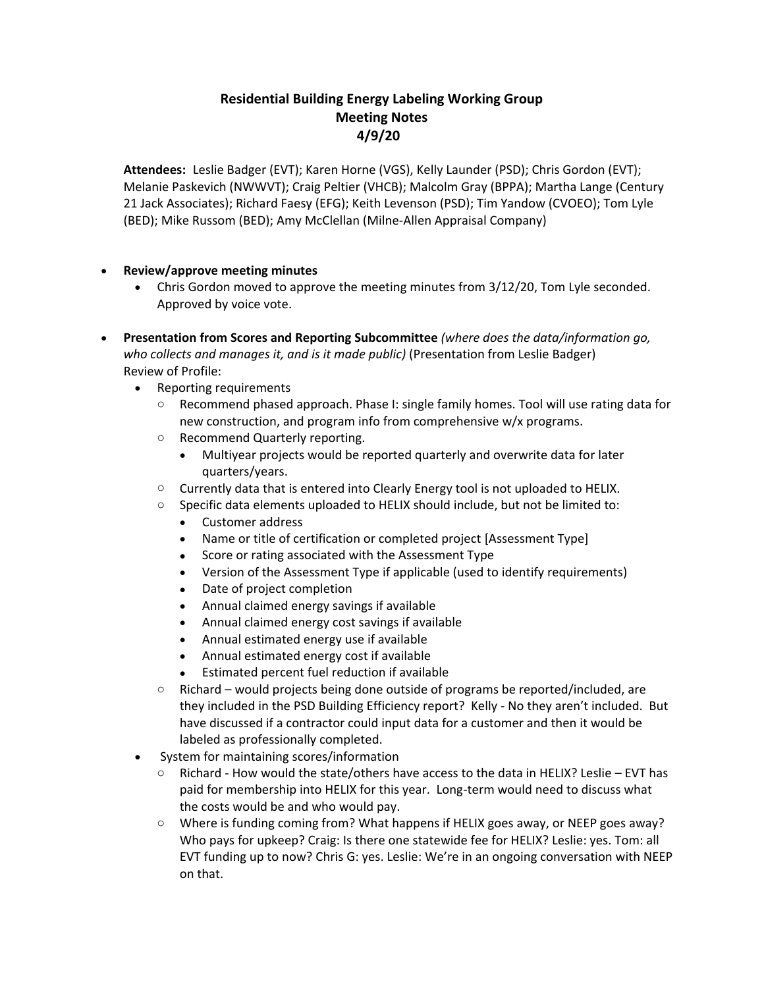## **Residential Building Energy Labeling Working Group Meeting Notes 4/9/20**

**Attendees:** Leslie Badger (EVT); Karen Horne (VGS), Kelly Launder (PSD); Chris Gordon (EVT); Melanie Paskevich (NWWVT); Craig Peltier (VHCB); Malcolm Gray (BPPA); Martha Lange (Century 21 Jack Associates); Richard Faesy (EFG); Keith Levenson (PSD); Tim Yandow (CVOEO); Tom Lyle (BED); Mike Russom (BED); Amy McClellan (Milne-Allen Appraisal Company)

## • **Review/approve meeting minutes**

- Chris Gordon moved to approve the meeting minutes from 3/12/20, Tom Lyle seconded. Approved by voice vote.
- **Presentation from Scores and Reporting Subcommittee** *(where does the data/information go, who collects and manages it, and is it made public)* (Presentation from Leslie Badger) Review of Profile:
	- Reporting requirements
		- o Recommend phased approach. Phase I: single family homes. Tool will use rating data for new construction, and program info from comprehensive w/x programs.
		- o Recommend Quarterly reporting.
			- Multiyear projects would be reported quarterly and overwrite data for later quarters/years.
		- $\circ$  Currently data that is entered into Clearly Energy tool is not uploaded to HELIX.
		- o Specific data elements uploaded to HELIX should include, but not be limited to:
			- Customer address
			- Name or title of certification or completed project [Assessment Type]
			- Score or rating associated with the Assessment Type
			- Version of the Assessment Type if applicable (used to identify requirements)
			- Date of project completion
			- Annual claimed energy savings if available
			- Annual claimed energy cost savings if available
			- Annual estimated energy use if available
			- Annual estimated energy cost if available
			- Estimated percent fuel reduction if available
		- $\circ$  Richard would projects being done outside of programs be reported/included, are they included in the PSD Building Efficiency report? Kelly - No they aren't included. But have discussed if a contractor could input data for a customer and then it would be labeled as professionally completed.
	- System for maintaining scores/information
		- $\circ$  Richard How would the state/others have access to the data in HELIX? Leslie EVT has paid for membership into HELIX for this year. Long-term would need to discuss what the costs would be and who would pay.
		- o Where is funding coming from? What happens if HELIX goes away, or NEEP goes away? Who pays for upkeep? Craig: Is there one statewide fee for HELIX? Leslie: yes. Tom: all EVT funding up to now? Chris G: yes. Leslie: We're in an ongoing conversation with NEEP on that.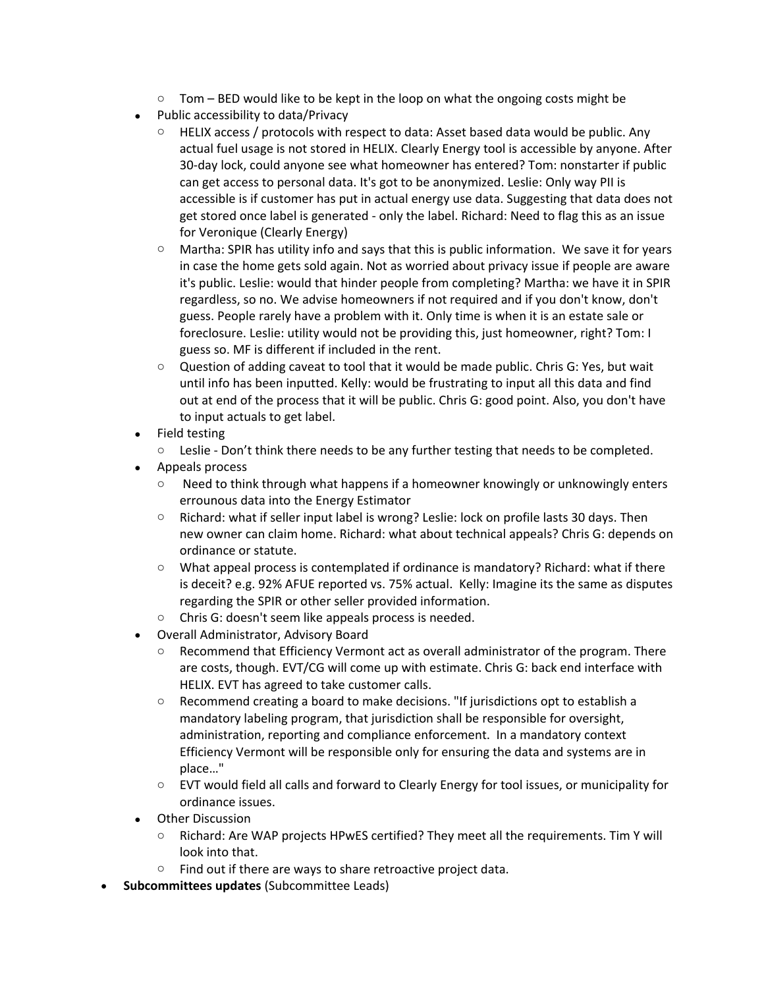- $\circ$  Tom BED would like to be kept in the loop on what the ongoing costs might be
- Public accessibility to data/Privacy
	- $\circ$  HELIX access / protocols with respect to data: Asset based data would be public. Any actual fuel usage is not stored in HELIX. Clearly Energy tool is accessible by anyone. After 30-day lock, could anyone see what homeowner has entered? Tom: nonstarter if public can get access to personal data. It's got to be anonymized. Leslie: Only way PII is accessible is if customer has put in actual energy use data. Suggesting that data does not get stored once label is generated - only the label. Richard: Need to flag this as an issue for Veronique (Clearly Energy)
	- $\circ$  Martha: SPIR has utility info and says that this is public information. We save it for years in case the home gets sold again. Not as worried about privacy issue if people are aware it's public. Leslie: would that hinder people from completing? Martha: we have it in SPIR regardless, so no. We advise homeowners if not required and if you don't know, don't guess. People rarely have a problem with it. Only time is when it is an estate sale or foreclosure. Leslie: utility would not be providing this, just homeowner, right? Tom: I guess so. MF is different if included in the rent.
	- $\circ$  Question of adding caveat to tool that it would be made public. Chris G: Yes, but wait until info has been inputted. Kelly: would be frustrating to input all this data and find out at end of the process that it will be public. Chris G: good point. Also, you don't have to input actuals to get label.
- Field testing

 $\circ$  Leslie - Don't think there needs to be any further testing that needs to be completed.

- Appeals process
	- $\circ$  Need to think through what happens if a homeowner knowingly or unknowingly enters errounous data into the Energy Estimator
	- o Richard: what if seller input label is wrong? Leslie: lock on profile lasts 30 days. Then new owner can claim home. Richard: what about technical appeals? Chris G: depends on ordinance or statute.
	- $\circ$  What appeal process is contemplated if ordinance is mandatory? Richard: what if there is deceit? e.g. 92% AFUE reported vs. 75% actual. Kelly: Imagine its the same as disputes regarding the SPIR or other seller provided information.
	- o Chris G: doesn't seem like appeals process is needed.
- Overall Administrator, Advisory Board
	- $\circ$  Recommend that Efficiency Vermont act as overall administrator of the program. There are costs, though. EVT/CG will come up with estimate. Chris G: back end interface with HELIX. EVT has agreed to take customer calls.
	- $\circ$  Recommend creating a board to make decisions. "If jurisdictions opt to establish a mandatory labeling program, that jurisdiction shall be responsible for oversight, administration, reporting and compliance enforcement. In a mandatory context Efficiency Vermont will be responsible only for ensuring the data and systems are in place…"
	- $\circ$  EVT would field all calls and forward to Clearly Energy for tool issues, or municipality for ordinance issues.
- Other Discussion
	- o Richard: Are WAP projects HPwES certified? They meet all the requirements. Tim Y will look into that.
	- $\circ$  Find out if there are ways to share retroactive project data.
- **Subcommittees updates** (Subcommittee Leads)